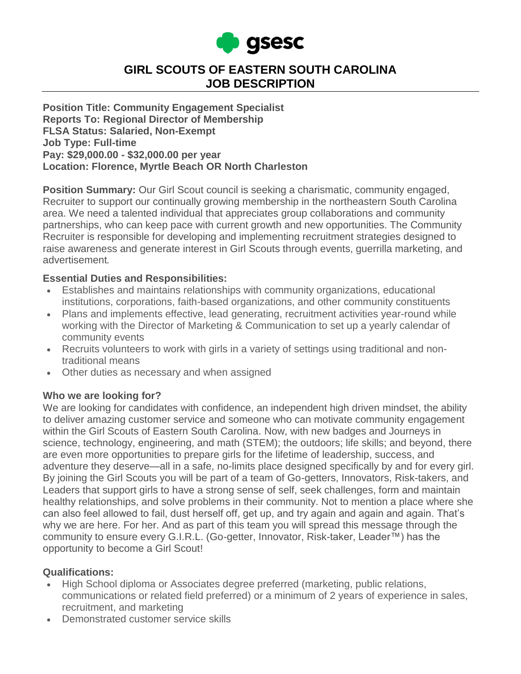

# **GIRL SCOUTS OF EASTERN SOUTH CAROLINA JOB DESCRIPTION**

**Position Title: Community Engagement Specialist Reports To: Regional Director of Membership FLSA Status: Salaried, Non-Exempt Job Type: Full-time Pay: \$29,000.00 - \$32,000.00 per year Location: Florence, Myrtle Beach OR North Charleston**

**Position Summary:** Our Girl Scout council is seeking a charismatic, community engaged, Recruiter to support our continually growing membership in the northeastern South Carolina area. We need a talented individual that appreciates group collaborations and community partnerships, who can keep pace with current growth and new opportunities. The Community Recruiter is responsible for developing and implementing recruitment strategies designed to raise awareness and generate interest in Girl Scouts through events, guerrilla marketing, and advertisement*.*

#### **Essential Duties and Responsibilities:**

- Establishes and maintains relationships with community organizations, educational institutions, corporations, faith-based organizations, and other community constituents
- Plans and implements effective, lead generating, recruitment activities year-round while working with the Director of Marketing & Communication to set up a yearly calendar of community events
- Recruits volunteers to work with girls in a variety of settings using traditional and nontraditional means
- Other duties as necessary and when assigned

#### **Who we are looking for?**

We are looking for candidates with confidence, an independent high driven mindset, the ability to deliver amazing customer service and someone who can motivate community engagement within the Girl Scouts of Eastern South Carolina. Now, with new badges and Journeys in science, technology, engineering, and math (STEM); the outdoors; life skills; and beyond, there are even more opportunities to prepare girls for the lifetime of leadership, success, and adventure they deserve—all in a safe, no-limits place designed specifically by and for every girl. By joining the Girl Scouts you will be part of a team of Go-getters, Innovators, Risk-takers, and Leaders that support girls to have a strong sense of self, seek challenges, form and maintain healthy relationships, and solve problems in their community. Not to mention a place where she can also feel allowed to fail, dust herself off, get up, and try again and again and again. That's why we are here. For her. And as part of this team you will spread this message through the community to ensure every G.I.R.L. (Go-getter, Innovator, Risk-taker, Leader™) has the opportunity to become a Girl Scout!

#### **Qualifications:**

- High School diploma or Associates degree preferred (marketing, public relations, communications or related field preferred) or a minimum of 2 years of experience in sales, recruitment, and marketing
- Demonstrated customer service skills